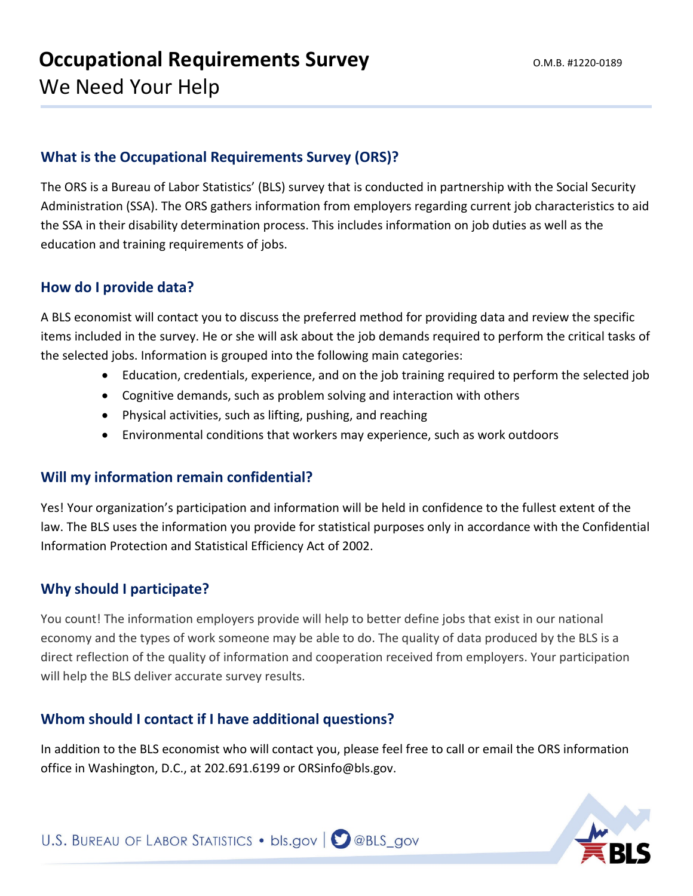# **What is the Occupational Requirements Survey (ORS)?**

The ORS is a Bureau of Labor Statistics' (BLS) survey that is conducted in partnership with the Social Security Administration (SSA). The ORS gathers information from employers regarding current job characteristics to aid the SSA in their disability determination process. This includes information on job duties as well as the education and training requirements of jobs.

#### **How do I provide data?**

A BLS economist will contact you to discuss the preferred method for providing data and review the specific items included in the survey. He or she will ask about the job demands required to perform the critical tasks of the selected jobs. Information is grouped into the following main categories:

- Education, credentials, experience, and on the job training required to perform the selected job
- Cognitive demands, such as problem solving and interaction with others
- Physical activities, such as lifting, pushing, and reaching
- Environmental conditions that workers may experience, such as work outdoors

#### **Will my information remain confidential?**

Yes! Your organization's participation and information will be held in confidence to the fullest extent of the law. The BLS uses the information you provide for statistical purposes only in accordance with the Confidential Information Protection and Statistical Efficiency Act of 2002.

#### **Why should I participate?**

You count! The information employers provide will help to better define jobs that exist in our national economy and the types of work someone may be able to do. The quality of data produced by the BLS is a direct reflection of the quality of information and cooperation received from employers. Your participation will help the BLS deliver accurate survey results.

# **Whom should I contact if I have additional questions?**

In addition to the BLS economist who will contact you, please feel free to call or email the ORS information office in Washington, D.C., at 202.691.6199 or ORSinfo@bls.gov.